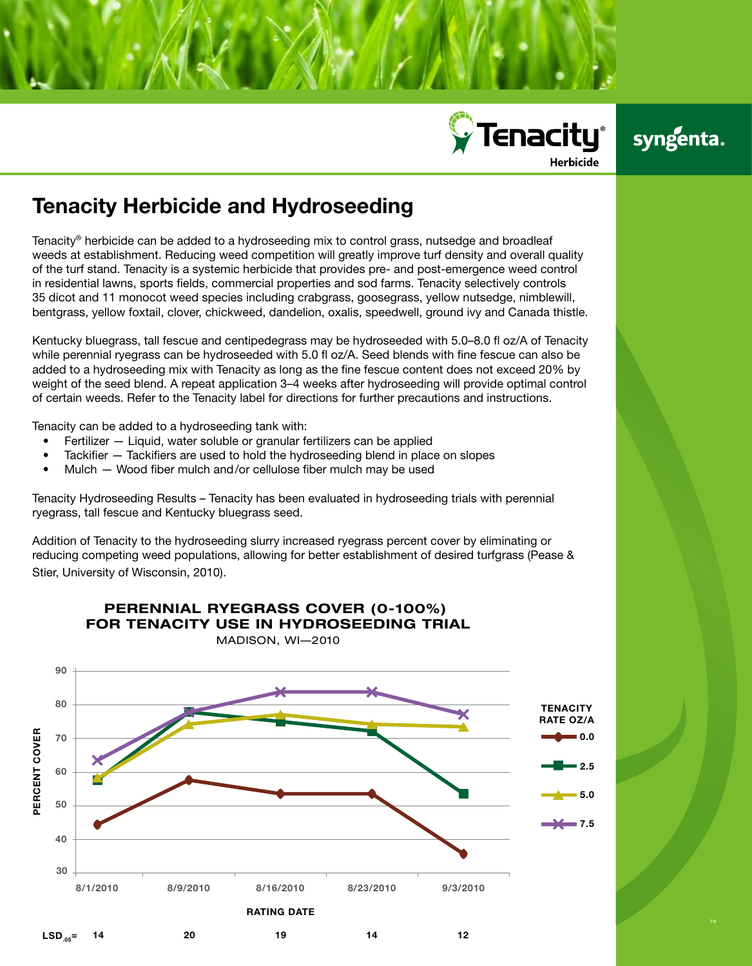

## syngenta.

## Tenacity Herbicide and Hydroseeding

Tenacity® herbicide can be added to a hydroseeding mix to control grass, nutsedge and broadleaf weeds at establishment. Reducing weed competition will greatly improve turf density and overall quality of the turf stand. Tenacity is a systemic herbicide that provides pre- and post-emergence weed control in residential lawns, sports fields, commercial properties and sod farms. Tenacity selectively controls 35 dicot and 11 monocot weed species including crabgrass, goosegrass, yellow nutsedge, nimblewill, bentgrass, yellow foxtail, clover, chickweed, dandelion, oxalis, speedwell, ground ivy and Canada thistle.

Kentucky bluegrass, tall fescue and centipedegrass may be hydroseeded with 5.0–8.0 fl oz/A of Tenacity while perennial ryegrass can be hydroseeded with 5.0 fl oz/A. Seed blends with fine fescue can also be added to a hydroseeding mix with Tenacity as long as the fine fescue content does not exceed 20% by weight of the seed blend. A repeat application 3–4 weeks after hydroseeding will provide optimal control of certain weeds. Refer to the Tenacity label for directions for further precautions and instructions.

Tenacity can be added to a hydroseeding tank with:

- $F$ ertilizer  $-$  Liquid, water soluble or granular fertilizers can be applied
- Tackifier  $-$  Tackifiers are used to hold the hydroseeding blend in place on slopes
- Mulch  $-$  Wood fiber mulch and/or cellulose fiber mulch may be used

Tenacity Hydroseeding Results – Tenacity has been evaluated in hydroseeding trials with perennial ryegrass, tall fescue and Kentucky bluegrass seed.

Addition of Tenacity to the hydroseeding slurry increased ryegrass percent cover by eliminating or reducing competing weed populations, allowing for better establishment of desired turfgrass (Pease & Stier, University of Wisconsin, 2010).